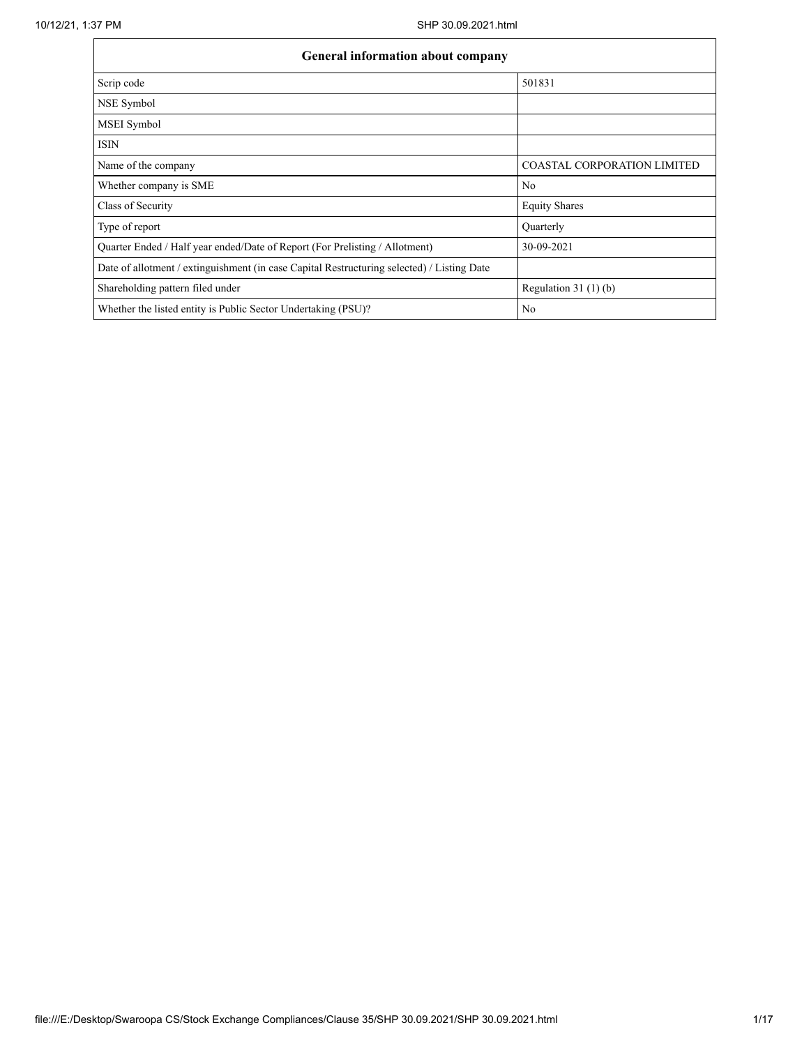| General information about company                                                          |                                    |  |  |  |  |  |  |  |
|--------------------------------------------------------------------------------------------|------------------------------------|--|--|--|--|--|--|--|
| Scrip code                                                                                 | 501831                             |  |  |  |  |  |  |  |
| NSE Symbol                                                                                 |                                    |  |  |  |  |  |  |  |
| MSEI Symbol                                                                                |                                    |  |  |  |  |  |  |  |
| <b>ISIN</b>                                                                                |                                    |  |  |  |  |  |  |  |
| Name of the company                                                                        | <b>COASTAL CORPORATION LIMITED</b> |  |  |  |  |  |  |  |
| Whether company is SME                                                                     | No                                 |  |  |  |  |  |  |  |
| Class of Security                                                                          | <b>Equity Shares</b>               |  |  |  |  |  |  |  |
| Type of report                                                                             | Quarterly                          |  |  |  |  |  |  |  |
| Quarter Ended / Half year ended/Date of Report (For Prelisting / Allotment)                | 30-09-2021                         |  |  |  |  |  |  |  |
| Date of allotment / extinguishment (in case Capital Restructuring selected) / Listing Date |                                    |  |  |  |  |  |  |  |
| Shareholding pattern filed under                                                           | Regulation $31(1)(b)$              |  |  |  |  |  |  |  |
| Whether the listed entity is Public Sector Undertaking (PSU)?                              | No                                 |  |  |  |  |  |  |  |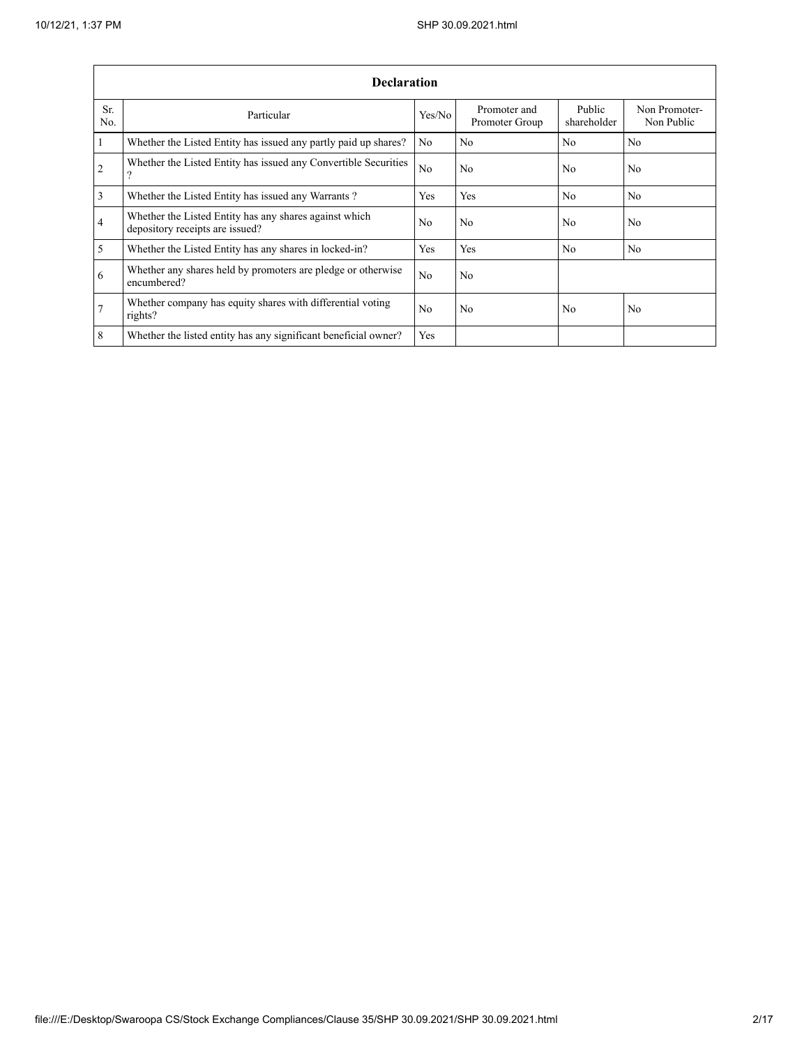|                 | <b>Declaration</b>                                                                        |        |                                |                       |                             |  |  |  |  |  |
|-----------------|-------------------------------------------------------------------------------------------|--------|--------------------------------|-----------------------|-----------------------------|--|--|--|--|--|
| Sr.<br>No.      | Particular                                                                                | Yes/No | Promoter and<br>Promoter Group | Public<br>shareholder | Non Promoter-<br>Non Public |  |  |  |  |  |
| $\vert$ 1       | Whether the Listed Entity has issued any partly paid up shares?                           | No     | No                             | No                    | N <sub>0</sub>              |  |  |  |  |  |
| $\overline{2}$  | Whether the Listed Entity has issued any Convertible Securities<br>?                      | No     | No                             | No                    | No                          |  |  |  |  |  |
| $\overline{3}$  | Whether the Listed Entity has issued any Warrants?                                        | Yes    | Yes                            | No                    | N <sub>0</sub>              |  |  |  |  |  |
| $\overline{4}$  | Whether the Listed Entity has any shares against which<br>depository receipts are issued? | No.    | No                             | No.                   | N <sub>0</sub>              |  |  |  |  |  |
| $\overline{5}$  | Whether the Listed Entity has any shares in locked-in?                                    | Yes    | Yes                            | No                    | No                          |  |  |  |  |  |
| 6               | Whether any shares held by promoters are pledge or otherwise<br>encumbered?               | No.    | No                             |                       |                             |  |  |  |  |  |
| $\overline{7}$  | Whether company has equity shares with differential voting<br>rights?                     | No     | No                             | No                    | No                          |  |  |  |  |  |
| $8\phantom{.}8$ | Whether the listed entity has any significant beneficial owner?                           | Yes    |                                |                       |                             |  |  |  |  |  |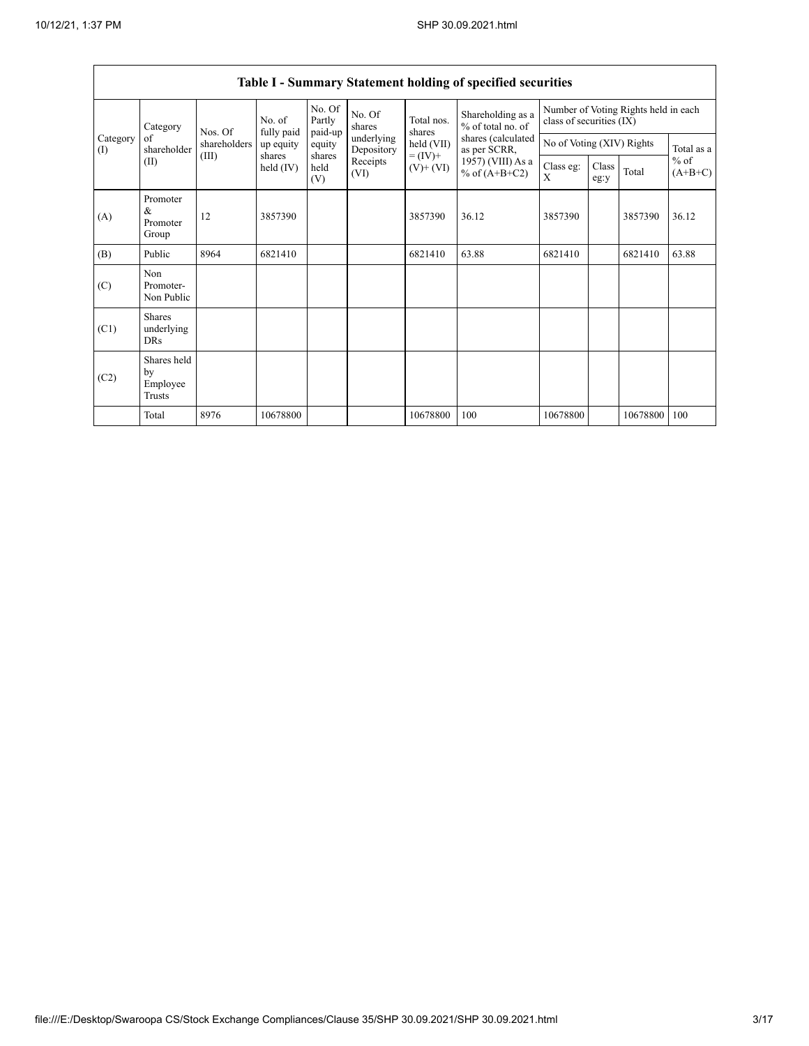| Category<br>Category<br>of<br>shareholder<br>(I)<br>(II) |                                         | Nos. Of   | No. of<br>fully paid  | No. Of<br>Partly<br>paid-up | No. Of<br>shares | Total nos.<br>shares               | Shareholding as a<br>% of total no. of | Number of Voting Rights held in each<br>class of securities (IX) |               |            |                     |
|----------------------------------------------------------|-----------------------------------------|-----------|-----------------------|-----------------------------|------------------|------------------------------------|----------------------------------------|------------------------------------------------------------------|---------------|------------|---------------------|
|                                                          | shareholders                            | up equity | equity                | underlying<br>Depository    | held (VII)       | shares (calculated<br>as per SCRR, | No of Voting (XIV) Rights              |                                                                  |               | Total as a |                     |
|                                                          |                                         | (III)     | shares<br>held $(IV)$ | shares<br>held<br>(V)       | Receipts<br>(VI) | $= (IV) +$<br>$(V)$ + $(VI)$       | 1957) (VIII) As a<br>% of $(A+B+C2)$   | Class eg:<br>X                                                   | Class<br>eg:y | Total      | $%$ of<br>$(A+B+C)$ |
| (A)                                                      | Promoter<br>&<br>Promoter<br>Group      | 12        | 3857390               |                             |                  | 3857390                            | 36.12                                  | 3857390                                                          |               | 3857390    | 36.12               |
| (B)                                                      | Public                                  | 8964      | 6821410               |                             |                  | 6821410                            | 63.88                                  | 6821410                                                          |               | 6821410    | 63.88               |
| (C)                                                      | Non<br>Promoter-<br>Non Public          |           |                       |                             |                  |                                    |                                        |                                                                  |               |            |                     |
| (C1)                                                     | <b>Shares</b><br>underlying<br>DRs      |           |                       |                             |                  |                                    |                                        |                                                                  |               |            |                     |
| (C2)                                                     | Shares held<br>by<br>Employee<br>Trusts |           |                       |                             |                  |                                    |                                        |                                                                  |               |            |                     |
|                                                          | Total                                   | 8976      | 10678800              |                             |                  | 10678800                           | 100                                    | 10678800                                                         |               | 10678800   | 100                 |

# **Table I - Summary Statement holding of specified securities**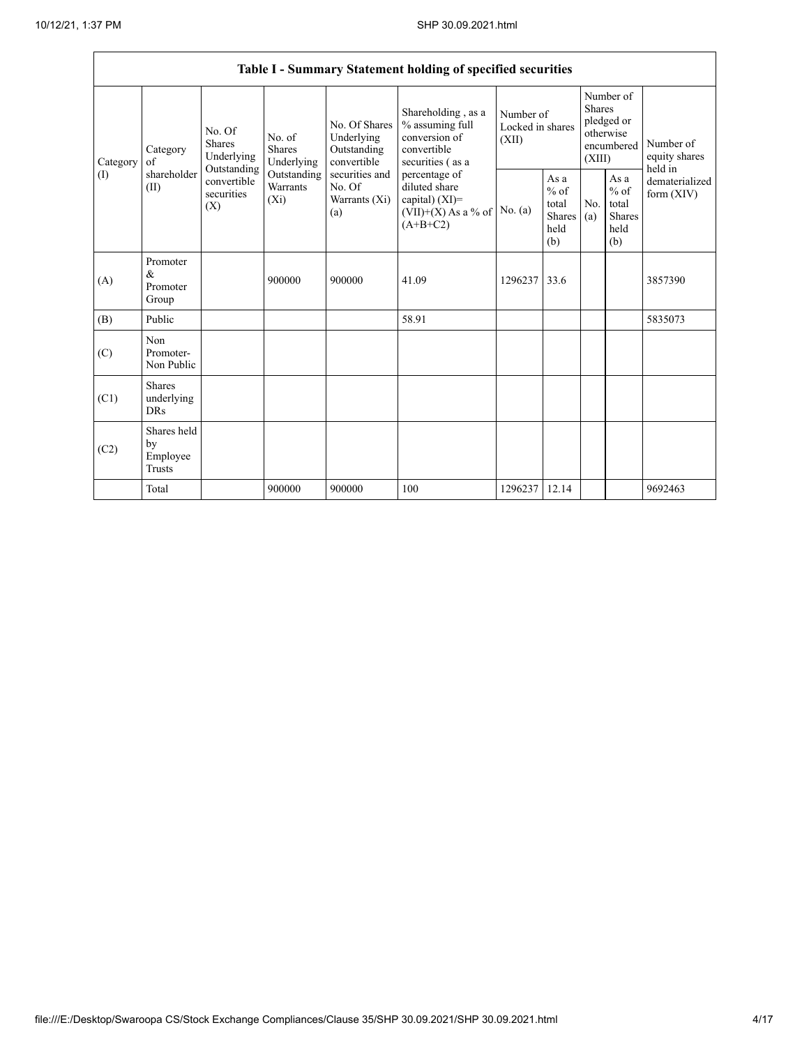$\mathbf{r}$ 

|                 | Table I - Summary Statement holding of specified securities                                                                |                                    |                                                  |                                                                                         |                                                                                           |                                                         |                                                                        |                                                         |                                       |         |
|-----------------|----------------------------------------------------------------------------------------------------------------------------|------------------------------------|--------------------------------------------------|-----------------------------------------------------------------------------------------|-------------------------------------------------------------------------------------------|---------------------------------------------------------|------------------------------------------------------------------------|---------------------------------------------------------|---------------------------------------|---------|
| Category<br>(I) | No. Of<br>Shares<br>Category<br>Underlying<br>of<br>Outstanding<br>shareholder<br>convertible<br>(II)<br>securities<br>(X) |                                    | No. of<br><b>Shares</b><br>Underlying            | No. Of Shares<br>Underlying<br>Outstanding<br>convertible                               | Shareholding, as a<br>% assuming full<br>conversion of<br>convertible<br>securities (as a | Number of<br>Locked in shares<br>(XII)                  | Number of<br>Shares<br>pledged or<br>otherwise<br>encumbered<br>(XIII) |                                                         | Number of<br>equity shares<br>held in |         |
|                 |                                                                                                                            | Outstanding<br>Warrants<br>$(X_i)$ | securities and<br>No. Of<br>Warrants (Xi)<br>(a) | percentage of<br>diluted share<br>capital) (XI)=<br>$(VII)+(X)$ As a % of<br>$(A+B+C2)$ | No. (a)                                                                                   | As a<br>$%$ of<br>total<br><b>Shares</b><br>held<br>(b) | No.<br>(a)                                                             | As a<br>$%$ of<br>total<br><b>Shares</b><br>held<br>(b) | dematerialized<br>form $(XIV)$        |         |
| (A)             | Promoter<br>$\&$<br>Promoter<br>Group                                                                                      |                                    | 900000                                           | 900000                                                                                  | 41.09                                                                                     | 1296237                                                 | 33.6                                                                   |                                                         |                                       | 3857390 |
| (B)             | Public                                                                                                                     |                                    |                                                  |                                                                                         | 58.91                                                                                     |                                                         |                                                                        |                                                         |                                       | 5835073 |
| (C)             | Non<br>Promoter-<br>Non Public                                                                                             |                                    |                                                  |                                                                                         |                                                                                           |                                                         |                                                                        |                                                         |                                       |         |
| (C1)            | <b>Shares</b><br>underlying<br><b>DRs</b>                                                                                  |                                    |                                                  |                                                                                         |                                                                                           |                                                         |                                                                        |                                                         |                                       |         |
| (C2)            | Shares held<br>by<br>Employee<br>Trusts                                                                                    |                                    |                                                  |                                                                                         |                                                                                           |                                                         |                                                                        |                                                         |                                       |         |
|                 | Total                                                                                                                      |                                    | 900000                                           | 900000                                                                                  | 100                                                                                       | 1296237                                                 | 12.14                                                                  |                                                         |                                       | 9692463 |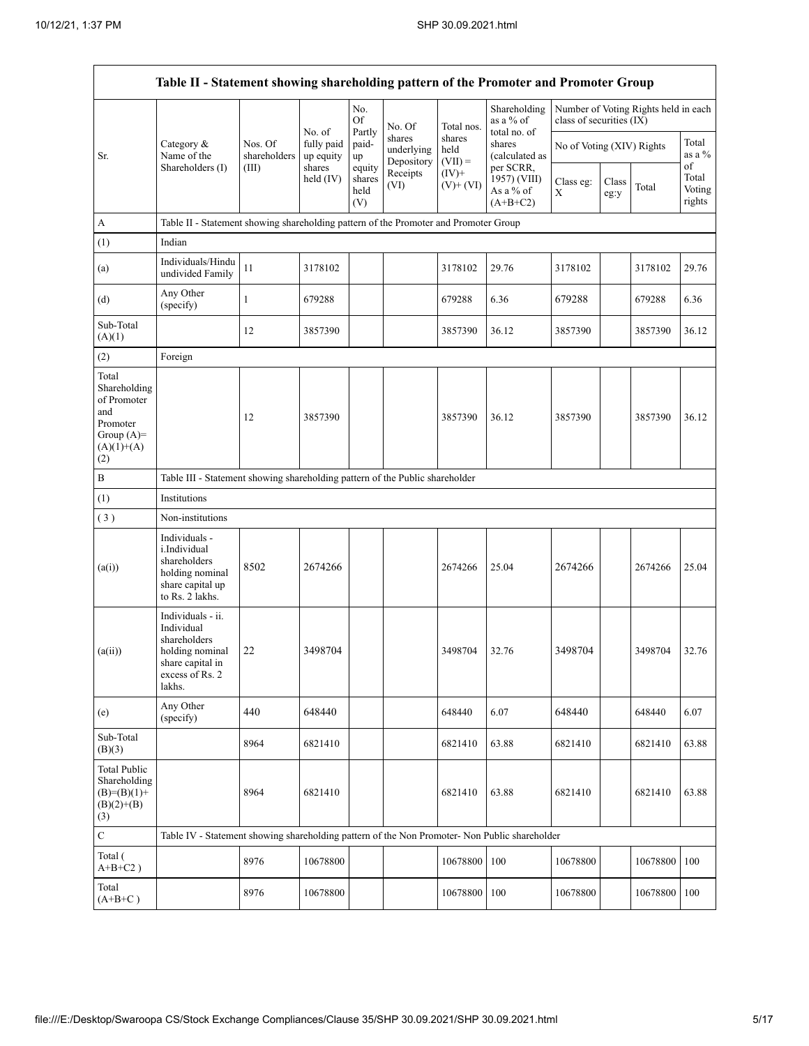|                                                                                                | Table II - Statement showing shareholding pattern of the Promoter and Promoter Group                                |                         |                                   |                                 |                                                        |                             |                                                      |                           |               |                                      |                                 |
|------------------------------------------------------------------------------------------------|---------------------------------------------------------------------------------------------------------------------|-------------------------|-----------------------------------|---------------------------------|--------------------------------------------------------|-----------------------------|------------------------------------------------------|---------------------------|---------------|--------------------------------------|---------------------------------|
|                                                                                                |                                                                                                                     |                         |                                   | No.<br>Of                       | No. Of                                                 | Total nos.                  | Shareholding<br>as a % of                            | class of securities (IX)  |               | Number of Voting Rights held in each |                                 |
| Sr.                                                                                            | Category &<br>Name of the                                                                                           | Nos. Of<br>shareholders | No. of<br>fully paid<br>up equity | Partly<br>paid-<br>up           | shares<br>underlying<br>Depository<br>Receipts<br>(VI) | shares<br>held<br>$(VII) =$ | total no. of<br>shares<br>(calculated as             | No of Voting (XIV) Rights |               |                                      | Total<br>as a %                 |
|                                                                                                | Shareholders (I)                                                                                                    | (III)                   | shares<br>held (IV)               | equity<br>shares<br>held<br>(V) |                                                        | $(IV)$ +<br>$(V)$ + $(VI)$  | per SCRR,<br>1957) (VIII)<br>As a % of<br>$(A+B+C2)$ | Class eg:<br>X            | Class<br>eg:y | Total                                | of<br>Total<br>Voting<br>rights |
| A                                                                                              | Table II - Statement showing shareholding pattern of the Promoter and Promoter Group                                |                         |                                   |                                 |                                                        |                             |                                                      |                           |               |                                      |                                 |
| (1)                                                                                            | Indian                                                                                                              |                         |                                   |                                 |                                                        |                             |                                                      |                           |               |                                      |                                 |
| (a)                                                                                            | Individuals/Hindu<br>undivided Family                                                                               | 11                      | 3178102                           |                                 |                                                        | 3178102                     | 29.76                                                | 3178102                   |               | 3178102                              | 29.76                           |
| (d)                                                                                            | Any Other<br>(specify)                                                                                              | 1                       | 679288                            |                                 |                                                        | 679288                      | 6.36                                                 | 679288                    |               | 679288                               | 6.36                            |
| Sub-Total<br>(A)(1)                                                                            |                                                                                                                     | 12                      | 3857390                           |                                 |                                                        | 3857390                     | 36.12                                                | 3857390                   |               | 3857390                              | 36.12                           |
| (2)                                                                                            | Foreign                                                                                                             |                         |                                   |                                 |                                                        |                             |                                                      |                           |               |                                      |                                 |
| Total<br>Shareholding<br>of Promoter<br>and<br>Promoter<br>Group $(A)=$<br>$(A)(1)+(A)$<br>(2) |                                                                                                                     | 12                      | 3857390                           |                                 |                                                        | 3857390                     | 36.12                                                | 3857390                   |               | 3857390                              | 36.12                           |
| $\, {\bf B}$                                                                                   | Table III - Statement showing shareholding pattern of the Public shareholder                                        |                         |                                   |                                 |                                                        |                             |                                                      |                           |               |                                      |                                 |
| (1)                                                                                            | Institutions                                                                                                        |                         |                                   |                                 |                                                        |                             |                                                      |                           |               |                                      |                                 |
| (3)                                                                                            | Non-institutions                                                                                                    |                         |                                   |                                 |                                                        |                             |                                                      |                           |               |                                      |                                 |
| (a(i))                                                                                         | Individuals -<br>i.Individual<br>shareholders<br>holding nominal<br>share capital up<br>to Rs. 2 lakhs.             | 8502                    | 2674266                           |                                 |                                                        | 2674266                     | 25.04                                                | 2674266                   |               | 2674266                              | 25.04                           |
| (a(ii))                                                                                        | Individuals - ii.<br>Individual<br>shareholders<br>holding nominal<br>share capital in<br>excess of Rs. 2<br>lakhs. | 22                      | 3498704                           |                                 |                                                        | 3498704                     | 32.76                                                | 3498704                   |               | 3498704                              | 32.76                           |
| (e)                                                                                            | Any Other<br>(specify)                                                                                              | 440                     | 648440                            |                                 |                                                        | 648440                      | 6.07                                                 | 648440                    |               | 648440                               | 6.07                            |
| Sub-Total<br>(B)(3)                                                                            |                                                                                                                     | 8964                    | 6821410                           |                                 |                                                        | 6821410                     | 63.88                                                | 6821410                   |               | 6821410                              | 63.88                           |
| <b>Total Public</b><br>Shareholding<br>$(B)=(B)(1)+$<br>$(B)(2)+(B)$<br>(3)                    |                                                                                                                     | 8964                    | 6821410                           |                                 |                                                        | 6821410                     | 63.88                                                | 6821410                   |               | 6821410                              | 63.88                           |
| $\mathbf C$                                                                                    | Table IV - Statement showing shareholding pattern of the Non Promoter- Non Public shareholder                       |                         |                                   |                                 |                                                        |                             |                                                      |                           |               |                                      |                                 |
| Total (<br>$A+B+C2$ )                                                                          |                                                                                                                     | 8976                    | 10678800                          |                                 |                                                        | 10678800                    | 100                                                  | 10678800                  |               | 10678800                             | 100                             |
| Total<br>$(A+B+C)$                                                                             |                                                                                                                     | 8976                    | 10678800                          |                                 |                                                        | 10678800                    | 100                                                  | 10678800                  |               | 10678800 100                         |                                 |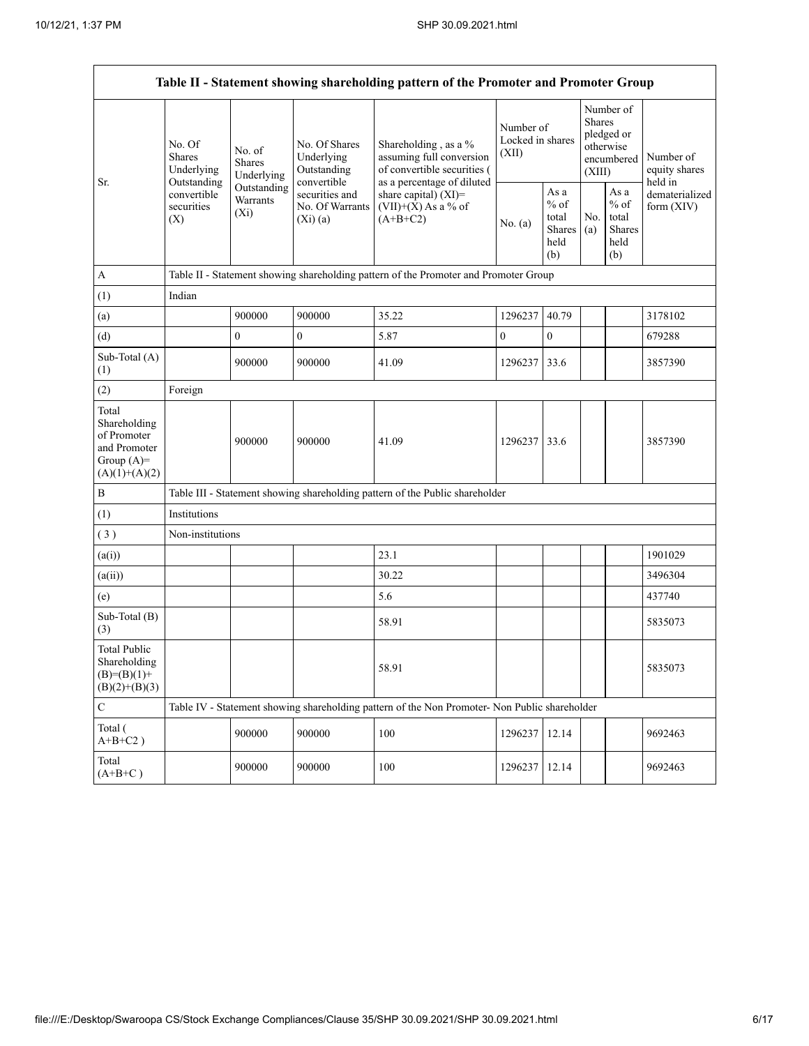| Table II - Statement showing shareholding pattern of the Promoter and Promoter Group    |                                                                                          |                                       |                                                             |                                                                                               |                                        |                                                  |                                                                               |                                                  |                                       |
|-----------------------------------------------------------------------------------------|------------------------------------------------------------------------------------------|---------------------------------------|-------------------------------------------------------------|-----------------------------------------------------------------------------------------------|----------------------------------------|--------------------------------------------------|-------------------------------------------------------------------------------|--------------------------------------------------|---------------------------------------|
| Sr.                                                                                     | No. Of<br><b>Shares</b><br>Underlying<br>Outstanding<br>convertible<br>securities<br>(X) | No. of<br><b>Shares</b><br>Underlying | No. Of Shares<br>Underlying<br>Outstanding                  | Shareholding, as a %<br>assuming full conversion<br>of convertible securities (               | Number of<br>Locked in shares<br>(XII) |                                                  | Number of<br><b>Shares</b><br>pledged or<br>otherwise<br>encumbered<br>(XIII) |                                                  | Number of<br>equity shares<br>held in |
|                                                                                         |                                                                                          | Outstanding<br>Warrants<br>$(X_i)$    | convertible<br>securities and<br>No. Of Warrants<br>(Xi)(a) | as a percentage of diluted<br>share capital) (XI)=<br>$(VII)+(X)$ As a % of<br>$(A+B+C2)$     | No. (a)                                | As a<br>$%$ of<br>total<br>Shares<br>held<br>(b) | No.<br>(a)                                                                    | As a<br>$%$ of<br>total<br>Shares<br>held<br>(b) | dematerialized<br>form $(XIV)$        |
| А                                                                                       |                                                                                          |                                       |                                                             | Table II - Statement showing shareholding pattern of the Promoter and Promoter Group          |                                        |                                                  |                                                                               |                                                  |                                       |
| (1)                                                                                     | Indian                                                                                   |                                       |                                                             |                                                                                               |                                        |                                                  |                                                                               |                                                  |                                       |
| (a)                                                                                     |                                                                                          | 900000                                | 900000                                                      | 35.22                                                                                         | 1296237                                | 40.79                                            |                                                                               |                                                  | 3178102                               |
| (d)                                                                                     |                                                                                          | $\overline{0}$                        | $\mathbf{0}$                                                | 5.87                                                                                          | $\overline{0}$                         | $\mathbf{0}$                                     |                                                                               |                                                  | 679288                                |
| Sub-Total (A)<br>(1)                                                                    |                                                                                          | 900000                                | 900000                                                      | 41.09                                                                                         | 1296237                                | 33.6                                             |                                                                               |                                                  | 3857390                               |
| (2)                                                                                     | Foreign                                                                                  |                                       |                                                             |                                                                                               |                                        |                                                  |                                                                               |                                                  |                                       |
| Total<br>Shareholding<br>of Promoter<br>and Promoter<br>Group $(A)=$<br>$(A)(1)+(A)(2)$ |                                                                                          | 900000                                | 900000                                                      | 41.09                                                                                         | 1296237                                | 33.6                                             |                                                                               |                                                  | 3857390                               |
| B                                                                                       |                                                                                          |                                       |                                                             | Table III - Statement showing shareholding pattern of the Public shareholder                  |                                        |                                                  |                                                                               |                                                  |                                       |
| (1)                                                                                     | Institutions                                                                             |                                       |                                                             |                                                                                               |                                        |                                                  |                                                                               |                                                  |                                       |
| (3)                                                                                     | Non-institutions                                                                         |                                       |                                                             |                                                                                               |                                        |                                                  |                                                                               |                                                  |                                       |
| (a(i))                                                                                  |                                                                                          |                                       |                                                             | 23.1                                                                                          |                                        |                                                  |                                                                               |                                                  | 1901029                               |
| (a(ii))                                                                                 |                                                                                          |                                       |                                                             | 30.22                                                                                         |                                        |                                                  |                                                                               |                                                  | 3496304                               |
| (e)                                                                                     |                                                                                          |                                       |                                                             | 5.6                                                                                           |                                        |                                                  |                                                                               |                                                  | 437740                                |
| Sub-Total (B)<br>(3)                                                                    |                                                                                          |                                       |                                                             | 58.91                                                                                         |                                        |                                                  |                                                                               |                                                  | 5835073                               |
| <b>Total Public</b><br>Shareholding<br>$(B)=(B)(1)+$<br>$(B)(2)+(B)(3)$                 |                                                                                          |                                       |                                                             | 58.91                                                                                         |                                        |                                                  |                                                                               |                                                  | 5835073                               |
| ${\bf C}$                                                                               |                                                                                          |                                       |                                                             | Table IV - Statement showing shareholding pattern of the Non Promoter- Non Public shareholder |                                        |                                                  |                                                                               |                                                  |                                       |
| Total (<br>$\mathrm{A} \text{+} \mathrm{B} \text{+} \mathrm{C2}$ )                      |                                                                                          | 900000                                | 900000                                                      | 100                                                                                           | 1296237                                | 12.14                                            |                                                                               |                                                  | 9692463                               |
| Total<br>$(A+B+C)$                                                                      |                                                                                          | 900000                                | 900000                                                      | 100                                                                                           | 1296237                                | 12.14                                            |                                                                               |                                                  | 9692463                               |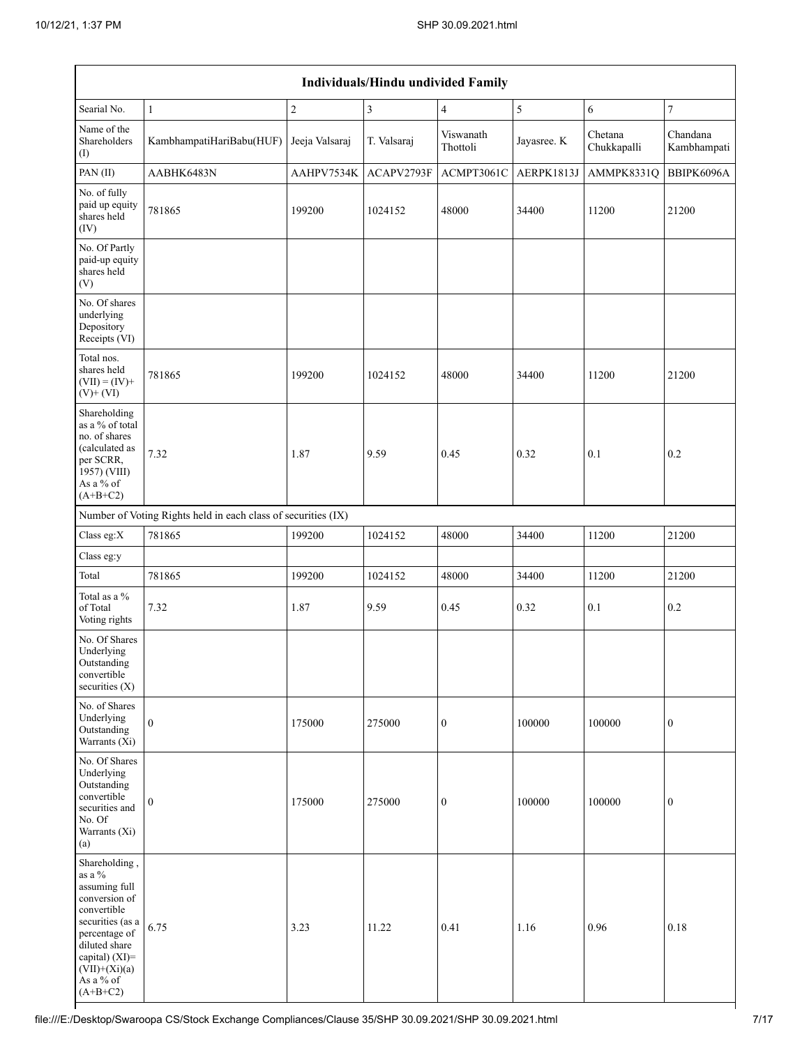| Individuals/Hindu undivided Family                                                                                                                                                                |                          |                |                |                       |             |                        |                         |  |  |  |
|---------------------------------------------------------------------------------------------------------------------------------------------------------------------------------------------------|--------------------------|----------------|----------------|-----------------------|-------------|------------------------|-------------------------|--|--|--|
| Searial No.                                                                                                                                                                                       | $\mathbf{1}$             | $\sqrt{2}$     | $\overline{3}$ | $\overline{4}$        | $\sqrt{5}$  | $\sqrt{6}$             | $\boldsymbol{7}$        |  |  |  |
| Name of the<br>Shareholders<br>$\rm (I)$                                                                                                                                                          | KambhampatiHariBabu(HUF) | Jeeja Valsaraj | T. Valsaraj    | Viswanath<br>Thottoli | Jayasree. K | Chetana<br>Chukkapalli | Chandana<br>Kambhampati |  |  |  |
| PAN(II)                                                                                                                                                                                           | AABHK6483N               | AAHPV7534K     | ACAPV2793F     | ACMPT3061C            | AERPK1813J  | AMMPK8331Q             | BBIPK6096A              |  |  |  |
| No. of fully<br>paid up equity<br>shares held<br>(IV)                                                                                                                                             | 781865                   | 199200         | 1024152        | 48000                 | 34400       | 11200                  | 21200                   |  |  |  |
| No. Of Partly<br>paid-up equity<br>shares held<br>(V)                                                                                                                                             |                          |                |                |                       |             |                        |                         |  |  |  |
| No. Of shares<br>underlying<br>Depository<br>Receipts (VI)                                                                                                                                        |                          |                |                |                       |             |                        |                         |  |  |  |
| Total nos.<br>shares held<br>$(VII) = (IV) +$<br>$(V)$ + $(VI)$                                                                                                                                   | 781865                   | 199200         | 1024152        | 48000                 | 34400       | 11200                  | 21200                   |  |  |  |
| Shareholding<br>as a % of total<br>no. of shares<br>(calculated as<br>per SCRR,<br>1957) (VIII)<br>As a % of<br>$(A+B+C2)$                                                                        | 7.32                     | 1.87           | 9.59           | 0.45                  | 0.32        | 0.1                    | 0.2                     |  |  |  |
| Number of Voting Rights held in each class of securities (IX)                                                                                                                                     |                          |                |                |                       |             |                        |                         |  |  |  |
| Class eg:X                                                                                                                                                                                        | 781865                   | 199200         | 1024152        | 48000                 | 34400       | 11200                  | 21200                   |  |  |  |
| Class eg:y                                                                                                                                                                                        |                          |                |                |                       |             |                        |                         |  |  |  |
| Total                                                                                                                                                                                             | 781865                   | 199200         | 1024152        | 48000                 | 34400       | 11200                  | 21200                   |  |  |  |
| Total as a %<br>of Total<br>Voting rights                                                                                                                                                         | 7.32                     | 1.87           | 9.59           | 0.45                  | 0.32        | 0.1                    | 0.2                     |  |  |  |
| No. Of Shares<br>Underlying<br>Outstanding<br>convertible<br>securities $(X)$                                                                                                                     |                          |                |                |                       |             |                        |                         |  |  |  |
| No. of Shares<br>Underlying<br>Outstanding<br>Warrants $(X_i)$                                                                                                                                    | $\boldsymbol{0}$         | 175000         | 275000         | $\boldsymbol{0}$      | 100000      | 100000                 | $\boldsymbol{0}$        |  |  |  |
| No. Of Shares<br>Underlying<br>Outstanding<br>convertible<br>securities and<br>No. Of<br>Warrants (Xi)<br>(a)                                                                                     | $\boldsymbol{0}$         | 175000         | 275000         | $\boldsymbol{0}$      | 100000      | 100000                 | $\boldsymbol{0}$        |  |  |  |
| Shareholding,<br>as a $\%$<br>assuming full<br>conversion of<br>convertible<br>securities (as a<br>percentage of<br>diluted share<br>capital) (XI)=<br>$(VII)+(Xi)(a)$<br>As a % of<br>$(A+B+C2)$ | 6.75                     | 3.23           | 11.22          | 0.41                  | 1.16        | 0.96                   | 0.18                    |  |  |  |

٦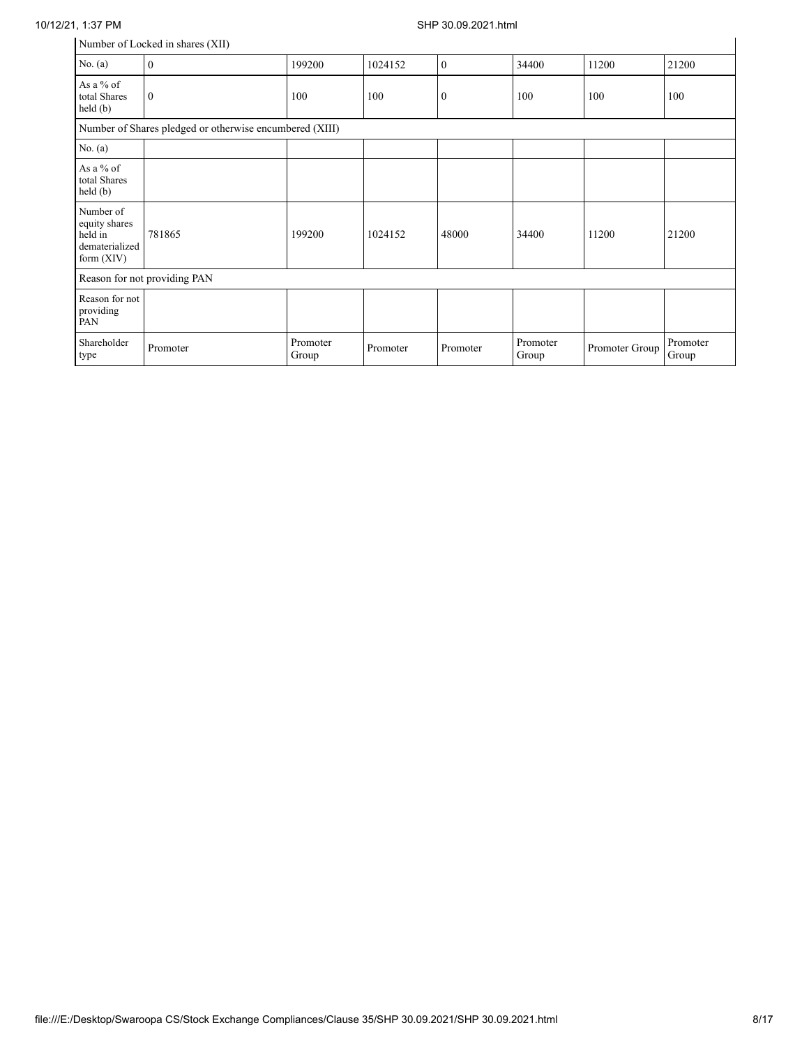## 10/12/21, 1:37 PM SHP 30.09.2021.html

| Number of Locked in shares (XII) |  |
|----------------------------------|--|
|----------------------------------|--|

|                                                                         | Number of Locked in shares (XII) |                   |          |              |                   |                |                   |  |  |
|-------------------------------------------------------------------------|----------------------------------|-------------------|----------|--------------|-------------------|----------------|-------------------|--|--|
| No. $(a)$                                                               | $\mathbf{0}$                     | 199200            | 1024152  | $\mathbf{0}$ | 34400             | 11200          | 21200             |  |  |
| As a % of<br>total Shares<br>$\text{held}(\text{b})$                    | $\theta$                         | 100               | 100      | $\mathbf{0}$ | 100               | 100            | 100               |  |  |
| Number of Shares pledged or otherwise encumbered (XIII)                 |                                  |                   |          |              |                   |                |                   |  |  |
| No. $(a)$                                                               |                                  |                   |          |              |                   |                |                   |  |  |
| As a % of<br>total Shares<br>held (b)                                   |                                  |                   |          |              |                   |                |                   |  |  |
| Number of<br>equity shares<br>held in<br>dematerialized<br>form $(XIV)$ | 781865                           | 199200            | 1024152  | 48000        | 34400             | 11200          | 21200             |  |  |
|                                                                         | Reason for not providing PAN     |                   |          |              |                   |                |                   |  |  |
| Reason for not<br>providing<br>PAN                                      |                                  |                   |          |              |                   |                |                   |  |  |
| Shareholder<br>type                                                     | Promoter                         | Promoter<br>Group | Promoter | Promoter     | Promoter<br>Group | Promoter Group | Promoter<br>Group |  |  |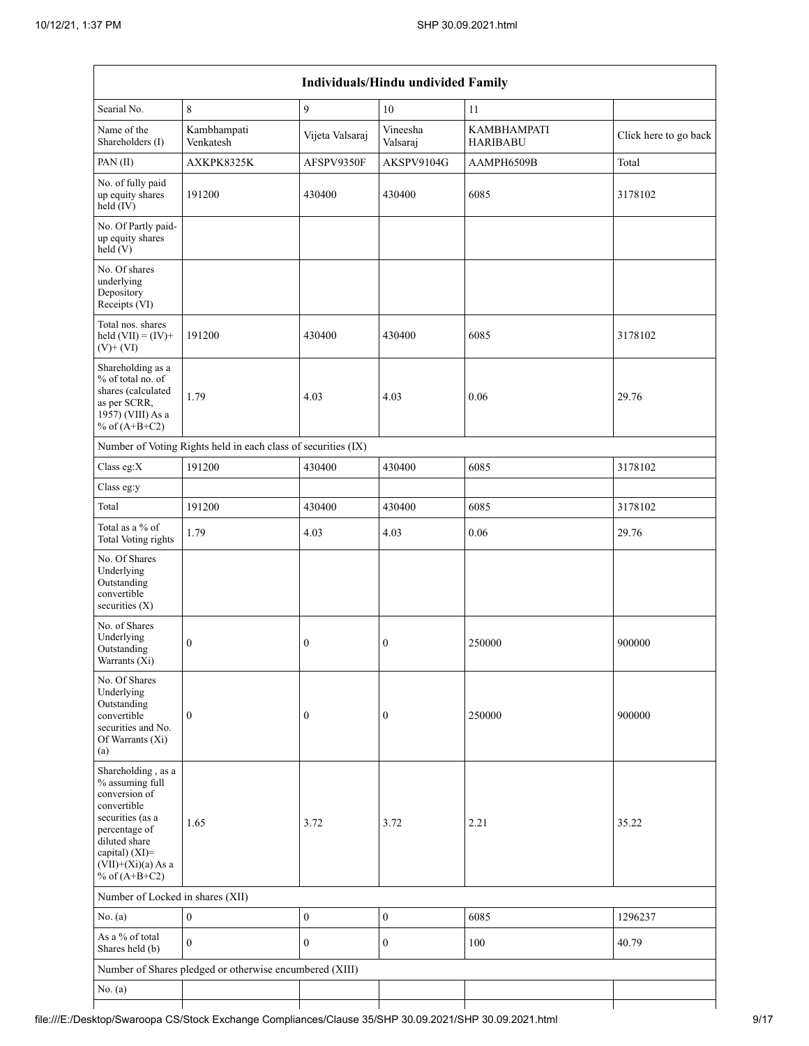|                                                                                                                                                                                          |                                                               |                  | <b>Individuals/Hindu undivided Family</b> |                                       |                       |
|------------------------------------------------------------------------------------------------------------------------------------------------------------------------------------------|---------------------------------------------------------------|------------------|-------------------------------------------|---------------------------------------|-----------------------|
| Searial No.                                                                                                                                                                              | 8                                                             | 9                | 10                                        | 11                                    |                       |
| Name of the<br>Shareholders (I)                                                                                                                                                          | Kambhampati<br>Venkatesh                                      | Vijeta Valsaraj  | Vineesha<br>Valsaraj                      | <b>KAMBHAMPATI</b><br><b>HARIBABU</b> | Click here to go back |
| PAN(II)                                                                                                                                                                                  | AXKPK8325K                                                    | AFSPV9350F       | AKSPV9104G                                | AAMPH6509B                            | Total                 |
| No. of fully paid<br>up equity shares<br>$held$ (IV)                                                                                                                                     | 191200                                                        | 430400           | 430400                                    | 6085                                  | 3178102               |
| No. Of Partly paid-<br>up equity shares<br>held(V)                                                                                                                                       |                                                               |                  |                                           |                                       |                       |
| No. Of shares<br>underlying<br>Depository<br>Receipts (VI)                                                                                                                               |                                                               |                  |                                           |                                       |                       |
| Total nos. shares<br>held $(VII) = (IV) +$<br>$(V)$ + $(VI)$                                                                                                                             | 191200                                                        | 430400           | 430400                                    | 6085                                  | 3178102               |
| Shareholding as a<br>% of total no. of<br>shares (calculated<br>as per SCRR,<br>1957) (VIII) As a<br>% of $(A+B+C2)$                                                                     | 1.79                                                          | 4.03             | 4.03                                      | 0.06                                  | 29.76                 |
|                                                                                                                                                                                          | Number of Voting Rights held in each class of securities (IX) |                  |                                           |                                       |                       |
| Class eg:X                                                                                                                                                                               | 191200                                                        | 430400           | 430400                                    | 6085                                  | 3178102               |
| Class eg:y                                                                                                                                                                               |                                                               |                  |                                           |                                       |                       |
| Total                                                                                                                                                                                    | 191200                                                        | 430400           | 430400                                    | 6085                                  | 3178102               |
| Total as a % of<br>Total Voting rights                                                                                                                                                   | 1.79                                                          | 4.03             | 4.03                                      | 0.06                                  | 29.76                 |
| No. Of Shares<br>Underlying<br>Outstanding<br>convertible<br>securities (X)                                                                                                              |                                                               |                  |                                           |                                       |                       |
| No. of Shares<br>Underlying<br>Outstanding<br>Warrants $(X_i)$                                                                                                                           | $\boldsymbol{0}$                                              | $\boldsymbol{0}$ | $\boldsymbol{0}$                          | 250000                                | 900000                |
| No. Of Shares<br>Underlying<br>Outstanding<br>convertible<br>securities and No.<br>Of Warrants (Xi)<br>(a)                                                                               | $\mathbf{0}$                                                  | $\boldsymbol{0}$ | $\boldsymbol{0}$                          | 250000                                | 900000                |
| Shareholding, as a<br>% assuming full<br>conversion of<br>convertible<br>securities (as a<br>percentage of<br>diluted share<br>capital) (XI)=<br>$(VII)+(Xi)(a)$ As a<br>% of $(A+B+C2)$ | 1.65                                                          | 3.72             | 3.72                                      | 2.21                                  | 35.22                 |
| Number of Locked in shares (XII)                                                                                                                                                         |                                                               |                  |                                           |                                       |                       |
| No. (a)                                                                                                                                                                                  | $\boldsymbol{0}$                                              | $\boldsymbol{0}$ | $\boldsymbol{0}$                          | 6085                                  | 1296237               |
| As a % of total<br>Shares held (b)                                                                                                                                                       | $\theta$                                                      | $\overline{0}$   | $\mathbf{0}$                              | 100                                   | 40.79                 |
|                                                                                                                                                                                          | Number of Shares pledged or otherwise encumbered (XIII)       |                  |                                           |                                       |                       |
| No. $(a)$                                                                                                                                                                                |                                                               |                  |                                           |                                       |                       |
|                                                                                                                                                                                          |                                                               |                  |                                           |                                       |                       |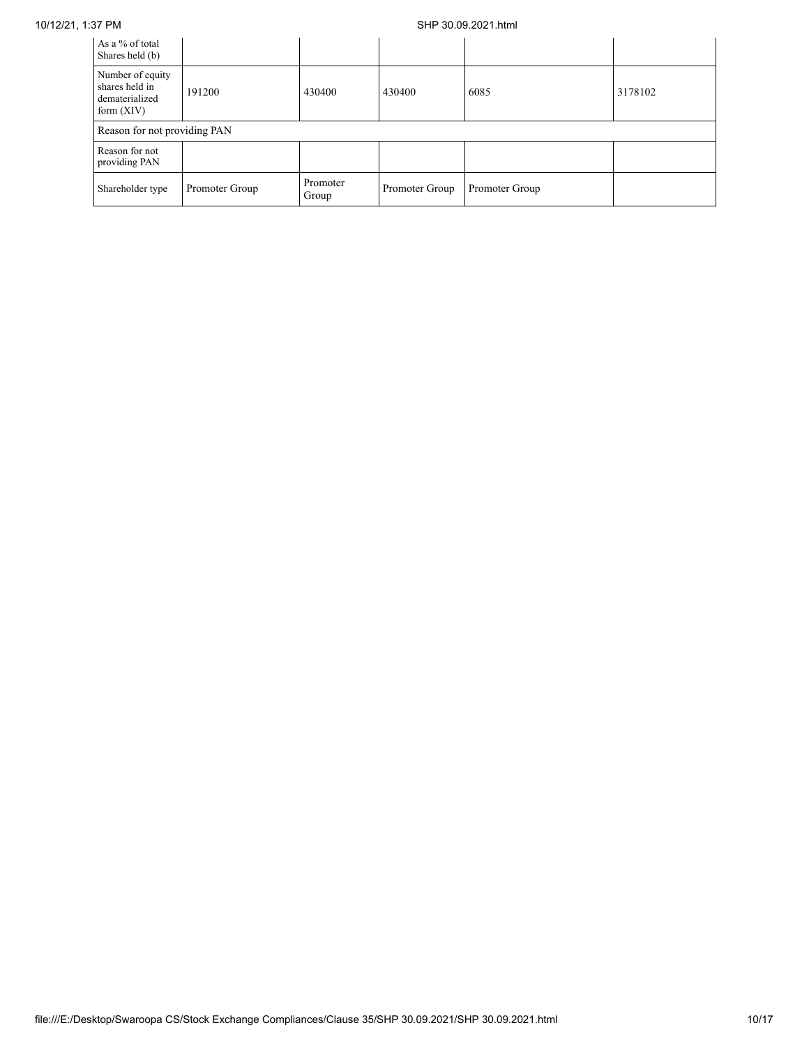### 10/12/21, 1:37 PM SHP 30.09.2021.html

| As a % of total<br>Shares held (b)                                   |                |                   |                |                |         |
|----------------------------------------------------------------------|----------------|-------------------|----------------|----------------|---------|
| Number of equity<br>shares held in<br>dematerialized<br>form $(XIV)$ | 191200         | 430400            | 430400         | 6085           | 3178102 |
| Reason for not providing PAN                                         |                |                   |                |                |         |
| Reason for not<br>providing PAN                                      |                |                   |                |                |         |
| Shareholder type                                                     | Promoter Group | Promoter<br>Group | Promoter Group | Promoter Group |         |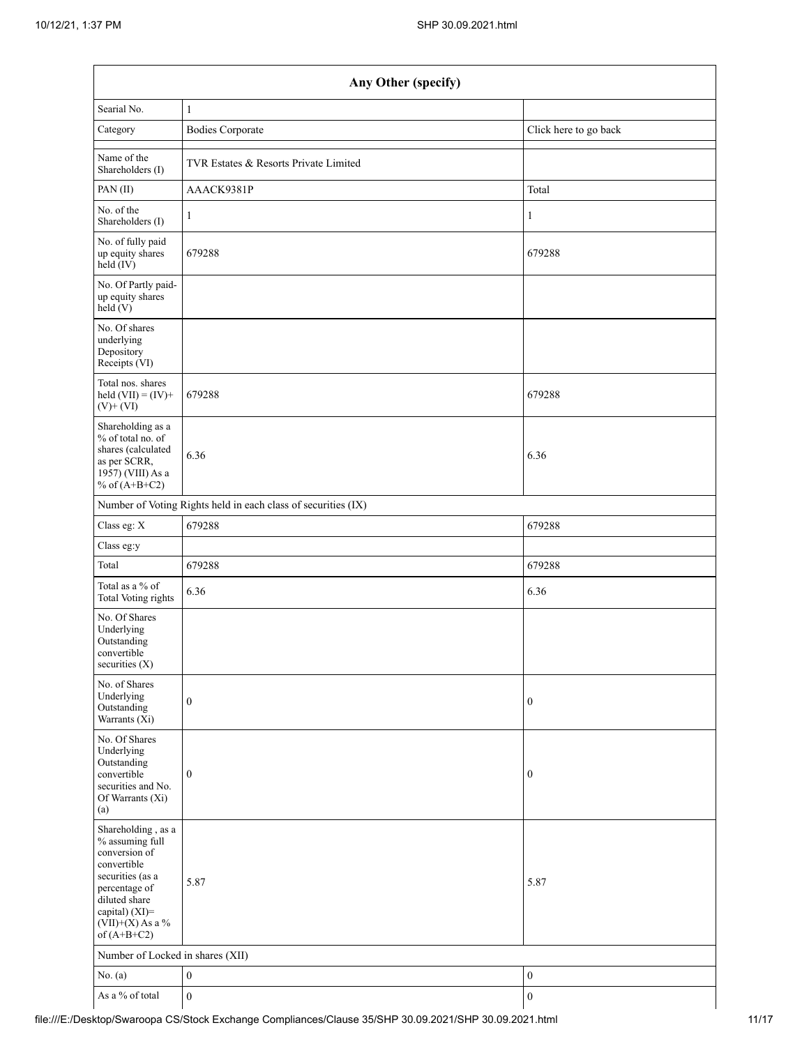| Any Other (specify)                                                                                                                                                                  |                                                               |                       |  |  |  |  |  |  |  |
|--------------------------------------------------------------------------------------------------------------------------------------------------------------------------------------|---------------------------------------------------------------|-----------------------|--|--|--|--|--|--|--|
| Searial No.                                                                                                                                                                          | $\mathbf{1}$                                                  |                       |  |  |  |  |  |  |  |
| Category                                                                                                                                                                             | <b>Bodies Corporate</b>                                       | Click here to go back |  |  |  |  |  |  |  |
| Name of the<br>Shareholders (I)                                                                                                                                                      | TVR Estates & Resorts Private Limited                         |                       |  |  |  |  |  |  |  |
| PAN(II)                                                                                                                                                                              | AAACK9381P                                                    | Total                 |  |  |  |  |  |  |  |
| No. of the<br>Shareholders (I)                                                                                                                                                       | $\mathbf{1}$                                                  | 1                     |  |  |  |  |  |  |  |
| No. of fully paid<br>up equity shares<br>$held$ (IV)                                                                                                                                 | 679288                                                        | 679288                |  |  |  |  |  |  |  |
| No. Of Partly paid-<br>up equity shares<br>held(V)                                                                                                                                   |                                                               |                       |  |  |  |  |  |  |  |
| No. Of shares<br>underlying<br>Depository<br>Receipts (VI)                                                                                                                           |                                                               |                       |  |  |  |  |  |  |  |
| Total nos. shares<br>held $(VII) = (IV) +$<br>$(V)$ + $(VI)$                                                                                                                         | 679288                                                        | 679288                |  |  |  |  |  |  |  |
| Shareholding as a<br>% of total no. of<br>shares (calculated<br>as per SCRR,<br>1957) (VIII) As a<br>% of $(A+B+C2)$                                                                 | 6.36                                                          | 6.36                  |  |  |  |  |  |  |  |
|                                                                                                                                                                                      | Number of Voting Rights held in each class of securities (IX) |                       |  |  |  |  |  |  |  |
| Class eg: X                                                                                                                                                                          | 679288                                                        | 679288                |  |  |  |  |  |  |  |
| Class eg:y                                                                                                                                                                           |                                                               |                       |  |  |  |  |  |  |  |
| Total                                                                                                                                                                                | 679288                                                        | 679288                |  |  |  |  |  |  |  |
| Total as a % of<br><b>Total Voting rights</b>                                                                                                                                        | 6.36                                                          | 6.36                  |  |  |  |  |  |  |  |
| No. Of Shares<br>Underlying<br>Outstanding<br>convertible<br>securities $(X)$                                                                                                        |                                                               |                       |  |  |  |  |  |  |  |
| No. of Shares<br>Underlying<br>Outstanding<br>Warrants (Xi)                                                                                                                          | $\boldsymbol{0}$                                              | $\boldsymbol{0}$      |  |  |  |  |  |  |  |
| No. Of Shares<br>Underlying<br>Outstanding<br>convertible<br>securities and No.<br>Of Warrants (Xi)<br>(a)                                                                           | $\boldsymbol{0}$                                              | $\boldsymbol{0}$      |  |  |  |  |  |  |  |
| Shareholding, as a<br>% assuming full<br>conversion of<br>convertible<br>securities (as a<br>percentage of<br>diluted share<br>capital) (XI)=<br>$(VII)+(X)$ As a %<br>of $(A+B+C2)$ | 5.87                                                          | 5.87                  |  |  |  |  |  |  |  |
| Number of Locked in shares (XII)                                                                                                                                                     |                                                               |                       |  |  |  |  |  |  |  |
| No. (a)                                                                                                                                                                              | $\boldsymbol{0}$                                              | $\boldsymbol{0}$      |  |  |  |  |  |  |  |
| As a $\%$ of total                                                                                                                                                                   | $\boldsymbol{0}$                                              | $\boldsymbol{0}$      |  |  |  |  |  |  |  |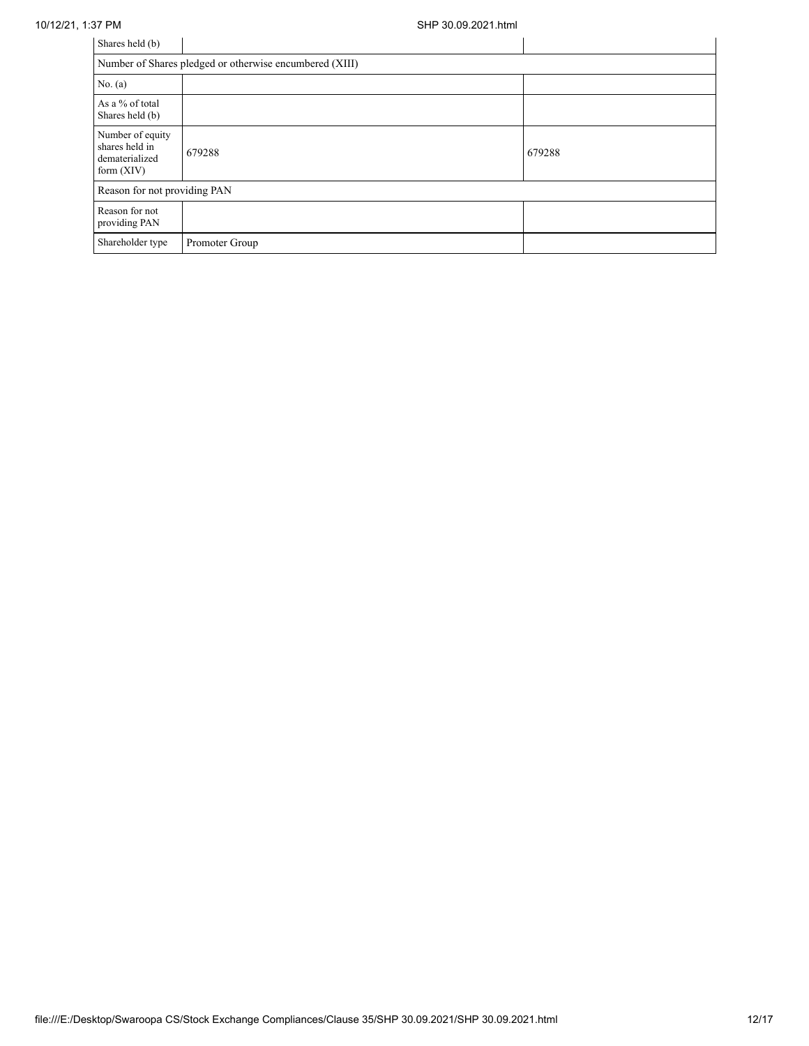| Shares held (b)                                                      |                                                         |        |  |  |  |  |
|----------------------------------------------------------------------|---------------------------------------------------------|--------|--|--|--|--|
|                                                                      | Number of Shares pledged or otherwise encumbered (XIII) |        |  |  |  |  |
| No. (a)                                                              |                                                         |        |  |  |  |  |
| As a % of total<br>Shares held (b)                                   |                                                         |        |  |  |  |  |
| Number of equity<br>shares held in<br>dematerialized<br>form $(XIV)$ | 679288                                                  | 679288 |  |  |  |  |
| Reason for not providing PAN                                         |                                                         |        |  |  |  |  |
| Reason for not<br>providing PAN                                      |                                                         |        |  |  |  |  |
| Shareholder type                                                     | Promoter Group                                          |        |  |  |  |  |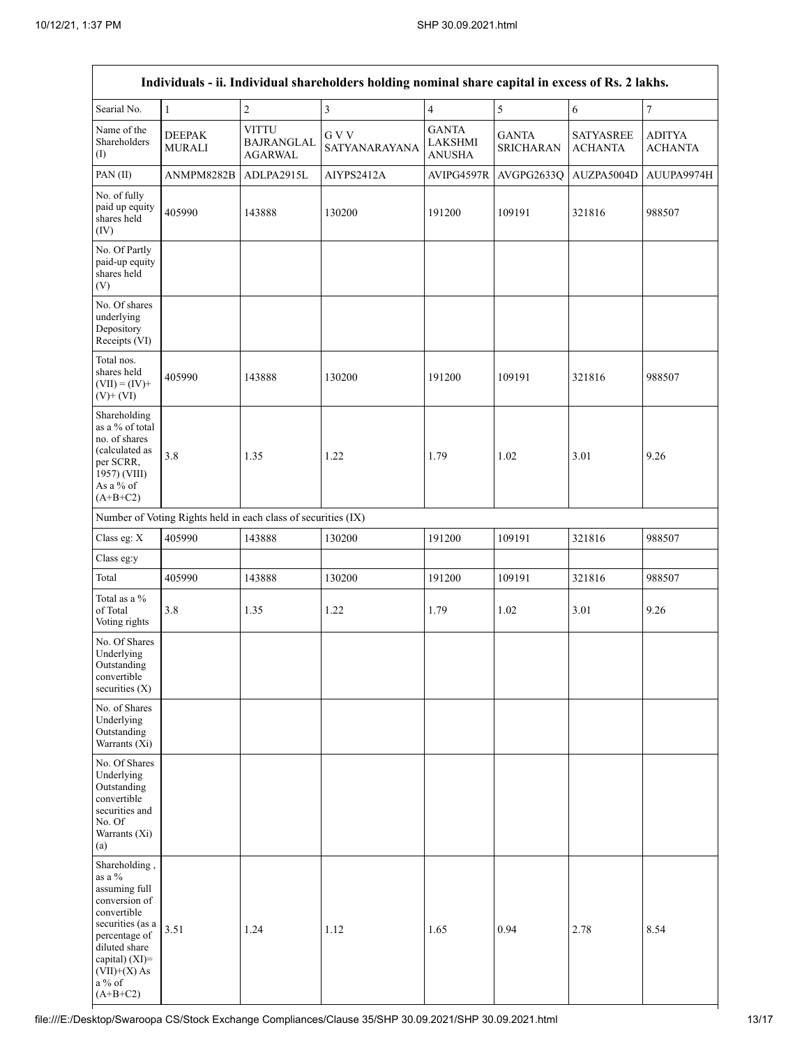| Individuals - ii. Individual shareholders holding nominal share capital in excess of Rs. 2 lakhs.                                                                                             |                                |                                                               |                         |                                          |                                  |                                    |                          |
|-----------------------------------------------------------------------------------------------------------------------------------------------------------------------------------------------|--------------------------------|---------------------------------------------------------------|-------------------------|------------------------------------------|----------------------------------|------------------------------------|--------------------------|
| Searial No.                                                                                                                                                                                   | $\mathbf{1}$                   | $\overline{c}$                                                | $\overline{\mathbf{3}}$ | $\overline{4}$                           | 5                                | 6                                  | $\overline{7}$           |
| Name of the<br>Shareholders<br>$\rm (I)$                                                                                                                                                      | <b>DEEPAK</b><br><b>MURALI</b> | <b>VITTU</b><br>BAJRANGLAL<br><b>AGARWAL</b>                  | G V V<br>SATYANARAYANA  | <b>GANTA</b><br>LAKSHMI<br><b>ANUSHA</b> | <b>GANTA</b><br><b>SRICHARAN</b> | <b>SATYASREE</b><br><b>ACHANTA</b> | ADITYA<br><b>ACHANTA</b> |
| PAN(II)                                                                                                                                                                                       | ANMPM8282B                     | ADLPA2915L                                                    | AIYPS2412A              | AVIPG4597R                               | AVGPG2633Q                       | AUZPA5004D                         | AUUPA9974H               |
| No. of fully<br>paid up equity<br>shares held<br>(IV)                                                                                                                                         | 405990                         | 143888                                                        | 130200                  | 191200                                   | 109191                           | 321816                             | 988507                   |
| No. Of Partly<br>paid-up equity<br>shares held<br>(V)                                                                                                                                         |                                |                                                               |                         |                                          |                                  |                                    |                          |
| No. Of shares<br>underlying<br>Depository<br>Receipts (VI)                                                                                                                                    |                                |                                                               |                         |                                          |                                  |                                    |                          |
| Total nos.<br>shares held<br>$(VII) = (IV) +$<br>$(V)$ + $(VI)$                                                                                                                               | 405990                         | 143888                                                        | 130200                  | 191200                                   | 109191                           | 321816                             | 988507                   |
| Shareholding<br>as a % of total<br>no. of shares<br>(calculated as<br>per SCRR,<br>1957) (VIII)<br>As a % of<br>$(A+B+C2)$                                                                    | 3.8                            | 1.35                                                          | 1.22                    | 1.79                                     | 1.02                             | 3.01                               | 9.26                     |
|                                                                                                                                                                                               |                                | Number of Voting Rights held in each class of securities (IX) |                         |                                          |                                  |                                    |                          |
| Class eg: X                                                                                                                                                                                   | 405990                         | 143888                                                        | 130200                  | 191200                                   | 109191                           | 321816                             | 988507                   |
| Class eg:y                                                                                                                                                                                    |                                |                                                               |                         |                                          |                                  |                                    |                          |
| Total                                                                                                                                                                                         | 405990                         | 143888                                                        | 130200                  | 191200                                   | 109191                           | 321816                             | 988507                   |
| Total as a %<br>of Total<br>Voting rights                                                                                                                                                     | 3.8                            | 1.35                                                          | 1.22                    | 1.79                                     | 1.02                             | 3.01                               | 9.26                     |
| No. Of Shares<br>Underlying<br>Outstanding<br>convertible<br>securities $(X)$                                                                                                                 |                                |                                                               |                         |                                          |                                  |                                    |                          |
| No. of Shares<br>Underlying<br>Outstanding<br>Warrants (Xi)                                                                                                                                   |                                |                                                               |                         |                                          |                                  |                                    |                          |
| No. Of Shares<br>Underlying<br>Outstanding<br>convertible<br>securities and<br>No. Of<br>Warrants (Xi)<br>(a)                                                                                 |                                |                                                               |                         |                                          |                                  |                                    |                          |
| Shareholding,<br>as a $\%$<br>assuming full<br>conversion of<br>convertible<br>securities (as a<br>percentage of<br>diluted share<br>capital) (XI)=<br>$(VII)+(X)$ As<br>a % of<br>$(A+B+C2)$ | 3.51                           | 1.24                                                          | 1.12                    | 1.65                                     | 0.94                             | 2.78                               | 8.54                     |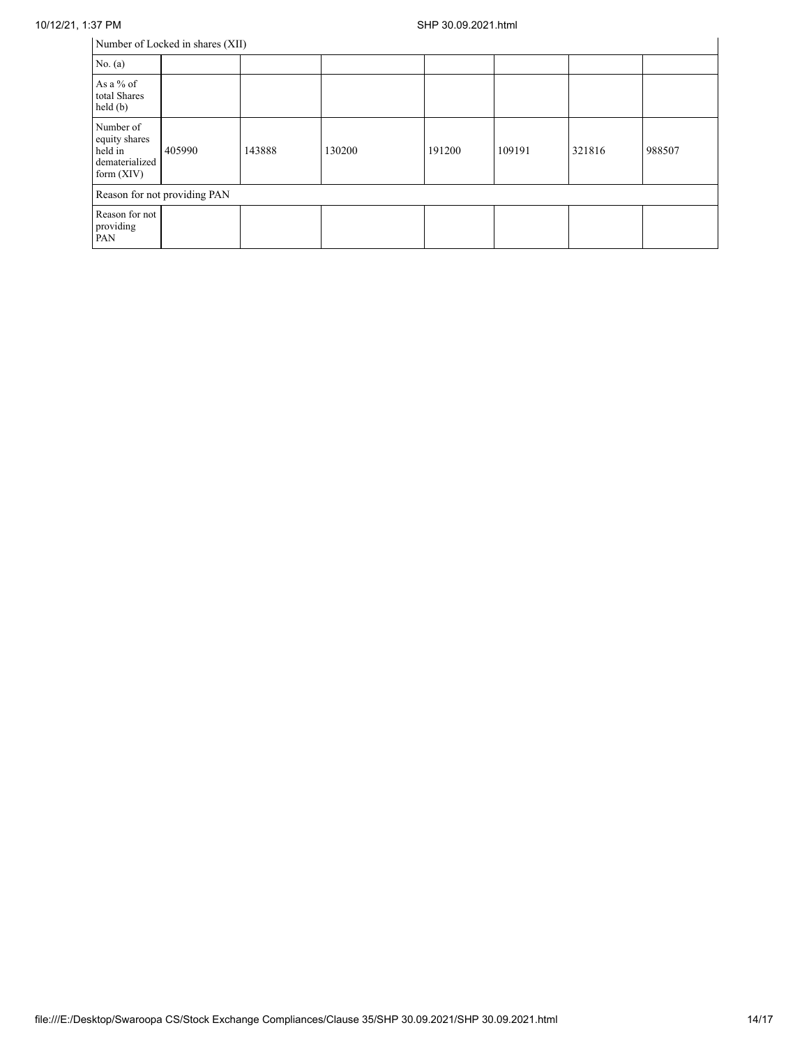| Number of Locked in shares (XII)                                        |        |        |        |        |        |        |        |
|-------------------------------------------------------------------------|--------|--------|--------|--------|--------|--------|--------|
| No. (a)                                                                 |        |        |        |        |        |        |        |
| As a $%$ of<br>total Shares<br>held(b)                                  |        |        |        |        |        |        |        |
| Number of<br>equity shares<br>held in<br>dematerialized<br>form $(XIV)$ | 405990 | 143888 | 130200 | 191200 | 109191 | 321816 | 988507 |
| Reason for not providing PAN                                            |        |        |        |        |        |        |        |
| Reason for not<br>providing<br>PAN                                      |        |        |        |        |        |        |        |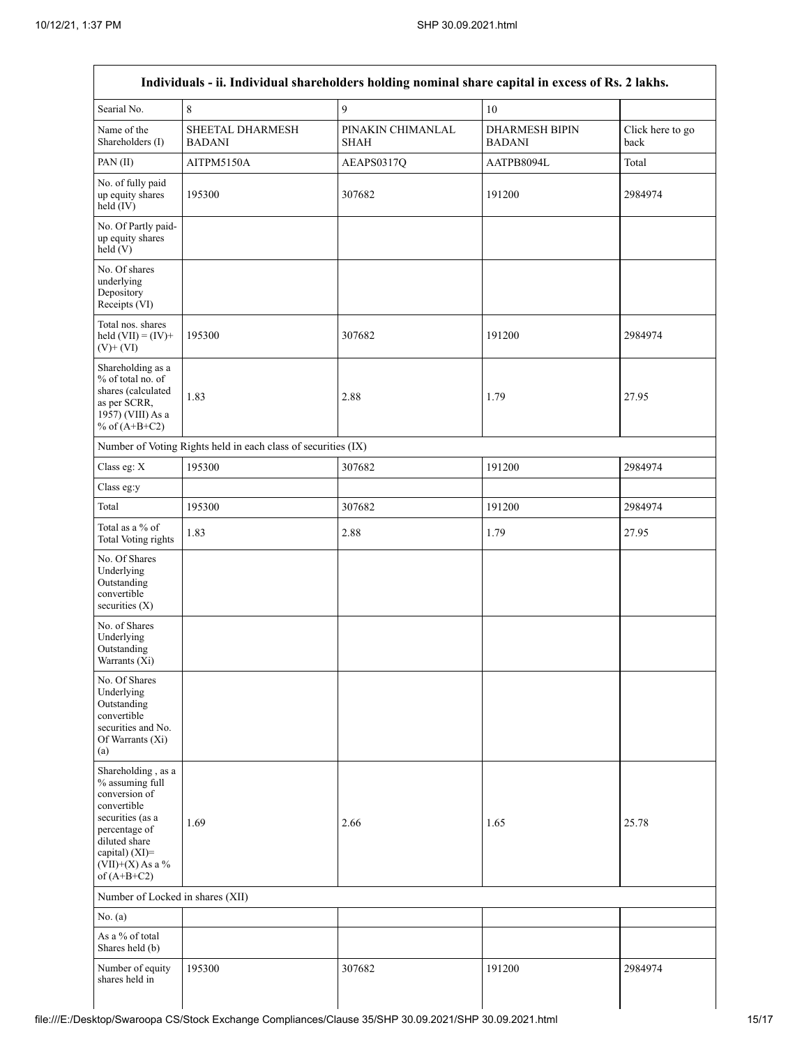Г

| Searial No.                                                                                                                                                                          | 8                                                             | 9                         | $10\,$                                 |                          |
|--------------------------------------------------------------------------------------------------------------------------------------------------------------------------------------|---------------------------------------------------------------|---------------------------|----------------------------------------|--------------------------|
| Name of the<br>Shareholders (I)                                                                                                                                                      | SHEETAL DHARMESH<br><b>BADANI</b>                             | PINAKIN CHIMANLAL<br>SHAH | <b>DHARMESH BIPIN</b><br><b>BADANI</b> | Click here to go<br>back |
| PAN (II)                                                                                                                                                                             | AITPM5150A                                                    | AEAPS0317Q                | AATPB8094L                             | Total                    |
| No. of fully paid<br>up equity shares<br>$held$ (IV)                                                                                                                                 | 195300                                                        | 307682                    | 191200                                 | 2984974                  |
| No. Of Partly paid-<br>up equity shares<br>held(V)                                                                                                                                   |                                                               |                           |                                        |                          |
| No. Of shares<br>underlying<br>Depository<br>Receipts (VI)                                                                                                                           |                                                               |                           |                                        |                          |
| Total nos. shares<br>held $(VII) = (IV) +$<br>$(V)$ + $(VI)$                                                                                                                         | 195300                                                        | 307682                    | 191200                                 | 2984974                  |
| Shareholding as a<br>% of total no. of<br>shares (calculated<br>as per SCRR,<br>1957) (VIII) As a<br>% of $(A+B+C2)$                                                                 | 1.83                                                          | 2.88                      | 1.79                                   | 27.95                    |
|                                                                                                                                                                                      | Number of Voting Rights held in each class of securities (IX) |                           |                                        |                          |
| Class eg: X                                                                                                                                                                          | 195300                                                        | 307682                    | 191200                                 | 2984974                  |
| Class eg:y                                                                                                                                                                           |                                                               |                           |                                        |                          |
| Total                                                                                                                                                                                | 195300                                                        | 307682                    | 191200                                 | 2984974                  |
| Total as a % of<br>Total Voting rights                                                                                                                                               | 1.83                                                          | 2.88                      | 1.79                                   | 27.95                    |
| No. Of Shares<br>Underlying<br>Outstanding<br>convertible<br>securities $(X)$                                                                                                        |                                                               |                           |                                        |                          |
| No. of Shares<br>Underlying<br>Outstanding<br>Warrants (Xi)                                                                                                                          |                                                               |                           |                                        |                          |
| No. Of Shares<br>Underlying<br>Outstanding<br>convertible<br>securities and No.<br>Of Warrants (Xi)<br>(a)                                                                           |                                                               |                           |                                        |                          |
| Shareholding, as a<br>% assuming full<br>conversion of<br>convertible<br>securities (as a<br>percentage of<br>diluted share<br>capital) (XI)=<br>$(VII)+(X)$ As a %<br>of $(A+B+C2)$ | 1.69                                                          | 2.66                      | 1.65                                   | 25.78                    |
| Number of Locked in shares (XII)                                                                                                                                                     |                                                               |                           |                                        |                          |
| No. (a)                                                                                                                                                                              |                                                               |                           |                                        |                          |
| As a % of total<br>Shares held (b)                                                                                                                                                   |                                                               |                           |                                        |                          |
| Number of equity<br>shares held in                                                                                                                                                   | 195300                                                        | 307682                    | 191200                                 | 2984974                  |

٦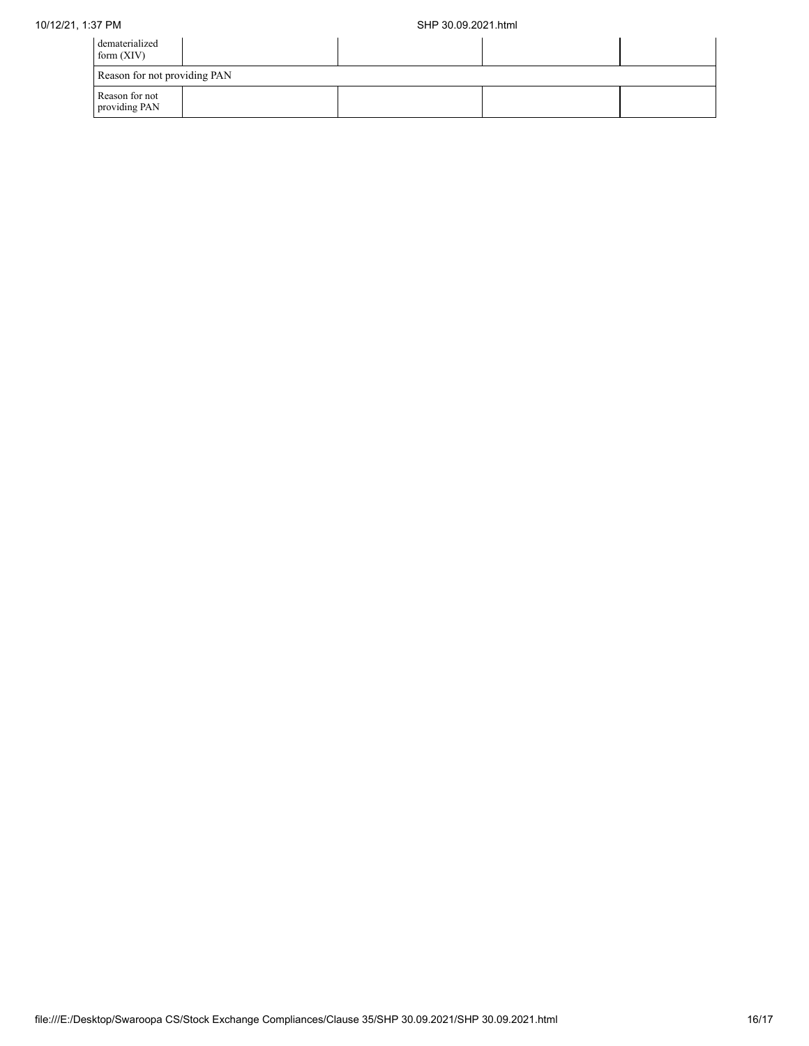| dematerialized<br>form $(XIV)$  |  |  |  |  |  |  |
|---------------------------------|--|--|--|--|--|--|
| Reason for not providing PAN    |  |  |  |  |  |  |
| Reason for not<br>providing PAN |  |  |  |  |  |  |